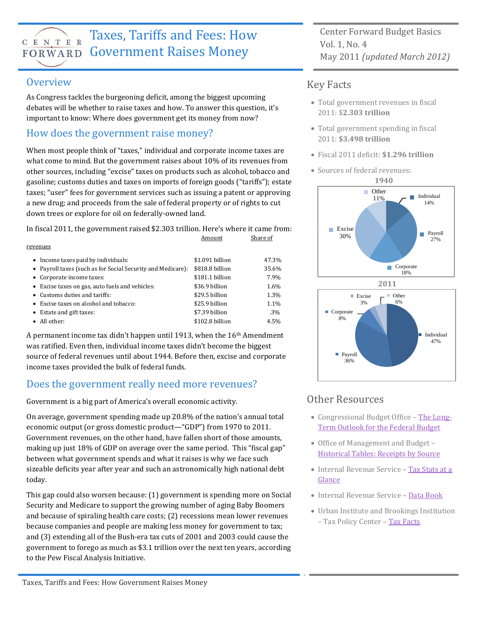# C E N T E R

## Taxes, Tariffs and Fees: How FORWARD Government Raises Money

#### **Overview**

As Congress tackles the burgeoning deficit, among the biggest upcoming debates will be whether to raise taxes and how. To answer this question, it's important to know: Where does government get its money from now?

#### How does the government raise money?

When most people think of "taxes," individual and corporate income taxes are what come to mind. But the government raises about 10% of its revenues from other sources, including "excise" taxes on products such as alcohol, tobacco and gasoline; customs duties and taxes on imports of foreign goods ("tariffs"); estate taxes; "user" fees for government services such as issuing a patent or approving a new drug; and proceeds from the sale of federal property or of rights to cut down trees or explore for oil on federally-owned land.

In fiscal 2011, the government raised \$2.303 trillion. Here's where it came from:

|                                                             | Amount          | Share of |
|-------------------------------------------------------------|-----------------|----------|
| revenues                                                    |                 |          |
| • Income taxes paid by individuals:                         | \$1.091 billion | 47.3%    |
| • Payroll taxes (such as for Social Security and Medicare): | \$818.8 billion | 35.6%    |
| • Corporate income taxes:                                   | \$181.1 billion | 7.9%     |
| • Excise taxes on gas, auto fuels and vehicles:             | \$36.9 billion  | 1.6%     |
| • Customs duties and tariffs:                               | \$29.5 billion  | 1.3%     |
| Excise taxes on alcohol and tobacco:                        | \$25.9 billion  | 1.1%     |
| Estate and gift taxes:                                      | \$7.39 billion  | $.3\%$   |
| • All other:                                                | \$102.8 billion | 4.5%     |

A permanent income tax didn't happen until 1913, when the  $16<sup>th</sup>$  Amendment was ratified. Even then, individual income taxes didn't become the biggest source of federal revenues until about 1944. Before then, excise and corporate income taxes provided the bulk of federal funds.

#### Does the government really need more revenues?

Government is a big part of America's overall economic activity.

On average, government spending made up 20.8% of the nation's annual total economic output (or gross domestic product—"GDP") from 1970 to 2011. Government revenues, on the other hand, have fallen short of those amounts, making up just 18% of GDP on average over the same period. This "fiscal gap" between what government spends and what it raises is why we face such sizeable deficits year after year and such an astronomically high national debt today.

This gap could also worsen because: (1) government is spending more on Social Security and Medicare to support the growing number of aging Baby Boomers and because of spiraling health care costs; (2) recessions mean lower revenues because companies and people are making less money for government to tax; and (3) extending all of the Bush-era tax cuts of 2001 and 2003 could cause the government to forego as much as \$3.1 trillion over the next ten years, according to the Pew Fiscal Analysis Initiative.

Center Forward Budget Basics Vol. 1, No. 4 May 2011 *(updated March 2012)*

#### Key Facts

- Total government revenues in fiscal 2011: \$**2.303 trillion**
- Total government spending in fiscal 2011: **\$3.498 trillion**
- Fiscal 2011 deficit: **\$1.296 trillion**
- Sources of federal revenues:





#### Other Resources

g

- Congressional Budget Office [The Long-](http://www.cbo.gov/publication/41486)[Term Outlook for the Federal Budget](http://www.cbo.gov/publication/41486)
- Office of Management and Budget [Historical Tables: Receipts by Source](http://www.whitehouse.gov/omb/budget/Historicals)
- Internal Revenue Service Tax Stats at a [Glance](http://www.irs.gov/taxstats/article/0,,id=102886,00.html)
- Internal Revenue Service [Data Book](http://www.irs.gov/taxstats/article/0,,id=102174,00.html)
- Urban Institute and Brookings Institution – Tax Policy Center – [Tax Facts](http://www.taxpolicycenter.org/taxfacts/index.cfm)